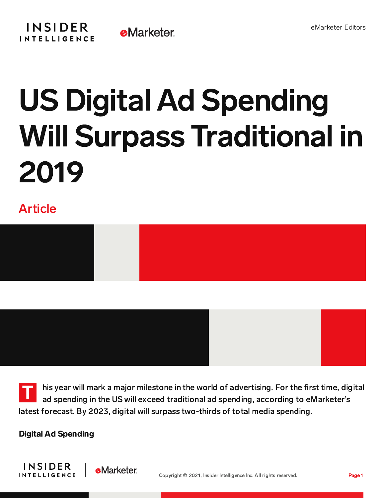

## US Digital Ad Spending Will Surpass Traditional in 2019

## Article





T his year will mark a major milestone in the world of advertising. For the first time, digital ad spending in the US will exceed traditional ad spending, according to eMarketer's latest forecast. By 2023, digital will surpass two-thirds of total media spending.

Digital Ad Spending

**e**Marketer

**INSIDER** 

**INTELLIGENCE** 

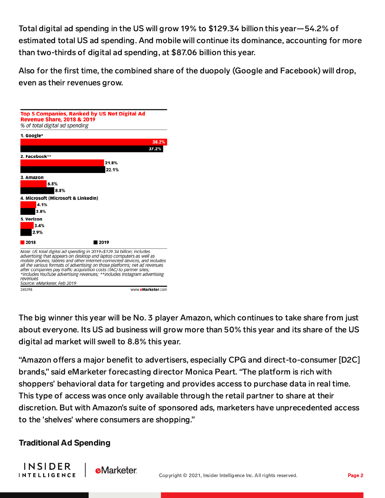Total digital ad spending in the US will grow 19% to \$129.34 billion this year—54.2% of estimated total US ad spending. And mobile will continue its dominance, accounting for more than two-thirds of digital ad spending, at \$87.06 billion this year.

Also for the first time, the combined share of the duopoly (Google and Facebook) will drop, even as their revenues grow.



The big winner this year will be No. 3 player Amazon, which continues to take share from just about everyone. Its US ad business will grow more than 50% this year and its share of the US digital ad market will swell to 8.8% this year.

"Amazon offers a major benefit to advertisers, especially CPG and direct-to-consumer [D2C] brands," said eMarketer forecasting director Monica Peart. "The platform is rich with shoppers' behavioral data for targeting and provides access to purchase data in real time. This type of access was once only available through the retail partner to share at their discretion. But with Amazon's suite of sponsored ads, marketers have unprecedented access to the 'shelves' where consumers are shopping."

## Traditional Ad Spending

**e**Marketer

**INSIDER** 

**INTELLIGENCE**